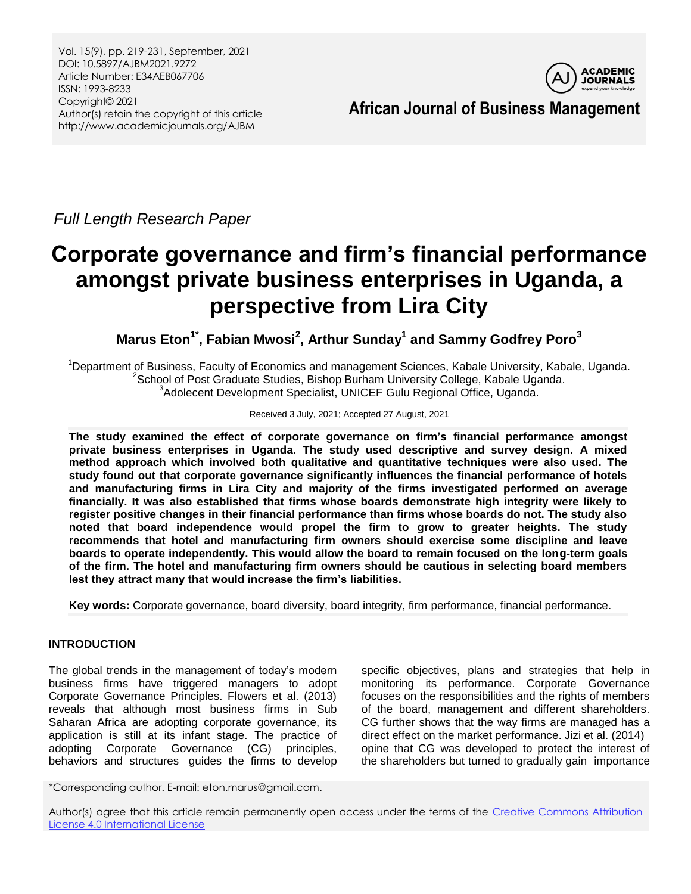Vol. 15(9), pp. 219-231, September, 2021 DOI: 10.5897/AJBM2021.9272 Article Number: E34AEB067706 ISSN: 1993-8233 Copyright© 2021 Author(s) retain the copyright of this article http://www.academicjournals.org/AJBM



*Full Length Research Paper*

# **Corporate governance and firm's financial performance amongst private business enterprises in Uganda, a perspective from Lira City**

**Marus Eton1\* , Fabian Mwosi<sup>2</sup> , Arthur Sunday<sup>1</sup> and Sammy Godfrey Poro<sup>3</sup>**

<sup>1</sup>Department of Business, Faculty of Economics and management Sciences, Kabale University, Kabale, Uganda. <sup>2</sup>School of Post Graduate Studies, Bishop Burham University College, Kabale Uganda. <sup>3</sup>Adolecent Development Specialist, UNICEF Gulu Regional Office, Uganda.

## Received 3 July, 2021; Accepted 27 August, 2021

**The study examined the effect of corporate governance on firm's financial performance amongst private business enterprises in Uganda. The study used descriptive and survey design. A mixed method approach which involved both qualitative and quantitative techniques were also used. The study found out that corporate governance significantly influences the financial performance of hotels and manufacturing firms in Lira City and majority of the firms investigated performed on average financially. It was also established that firms whose boards demonstrate high integrity were likely to register positive changes in their financial performance than firms whose boards do not. The study also noted that board independence would propel the firm to grow to greater heights. The study recommends that hotel and manufacturing firm owners should exercise some discipline and leave boards to operate independently. This would allow the board to remain focused on the long-term goals of the firm. The hotel and manufacturing firm owners should be cautious in selecting board members lest they attract many that would increase the firm's liabilities.**

**Key words:** Corporate governance, board diversity, board integrity, firm performance, financial performance.

# **INTRODUCTION**

The global trends in the management of today's modern business firms have triggered managers to adopt Corporate Governance Principles. Flowers et al. (2013) reveals that although most business firms in Sub Saharan Africa are adopting corporate governance, its application is still at its infant stage. The practice of adopting Corporate Governance (CG) principles, behaviors and structures guides the firms to develop

specific objectives, plans and strategies that help in monitoring its performance. Corporate Governance focuses on the responsibilities and the rights of members of the board, management and different shareholders. CG further shows that the way firms are managed has a direct effect on the market performance. Jizi et al. (2014) opine that CG was developed to protect the interest of the shareholders but turned to gradually gain importance

\*Corresponding author. E-mail: eton.marus@gmail.com.

Author(s) agree that this article remain permanently open access under the terms of the Creative Commons Attribution [License 4.0 International License](http://creativecommons.org/licenses/by/4.0/deed.en_US)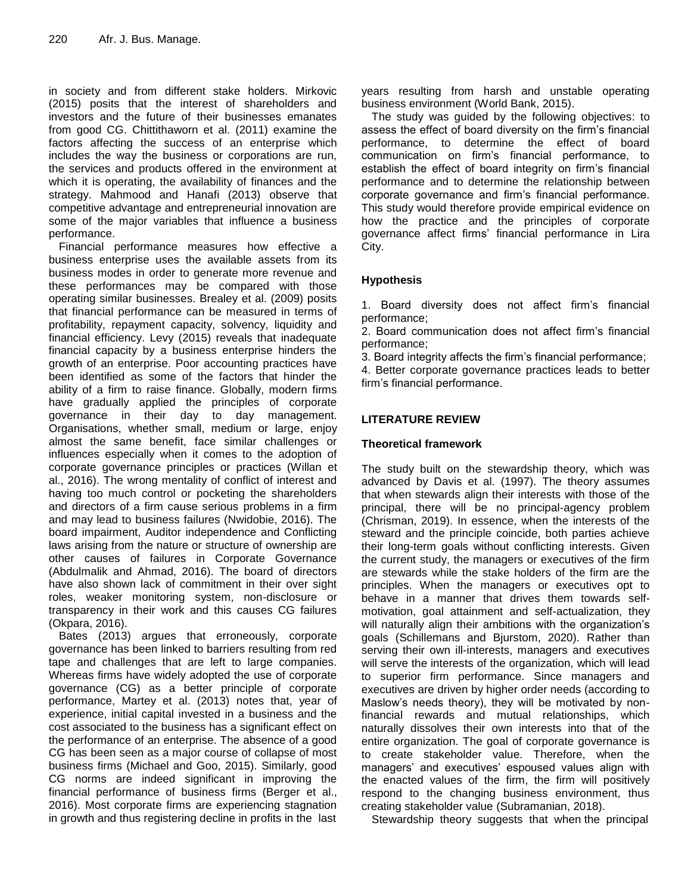in society and from different stake holders. Mirkovic (2015) posits that the interest of shareholders and investors and the future of their businesses emanates from good CG. Chittithaworn et al. (2011) examine the factors affecting the success of an enterprise which includes the way the business or corporations are run, the services and products offered in the environment at which it is operating, the availability of finances and the strategy. Mahmood and Hanafi (2013) observe that competitive advantage and entrepreneurial innovation are some of the major variables that influence a business performance.

Financial performance measures how effective a business enterprise uses the available assets from its business modes in order to generate more revenue and these performances may be compared with those operating similar businesses. Brealey et al. (2009) posits that financial performance can be measured in terms of profitability, repayment capacity, solvency, liquidity and financial efficiency. Levy (2015) reveals that inadequate financial capacity by a business enterprise hinders the growth of an enterprise. Poor accounting practices have been identified as some of the factors that hinder the ability of a firm to raise finance. Globally, modern firms have gradually applied the principles of corporate governance in their day to day management. Organisations, whether small, medium or large, enjoy almost the same benefit, face similar challenges or influences especially when it comes to the adoption of corporate governance principles or practices (Willan et al., 2016). The wrong mentality of conflict of interest and having too much control or pocketing the shareholders and directors of a firm cause serious problems in a firm and may lead to business failures (Nwidobie, 2016). The board impairment, Auditor independence and Conflicting laws arising from the nature or structure of ownership are other causes of failures in Corporate Governance (Abdulmalik and Ahmad, 2016). The board of directors have also shown lack of commitment in their over sight roles, weaker monitoring system, non-disclosure or transparency in their work and this causes CG failures (Okpara, 2016).

Bates (2013) argues that erroneously, corporate governance has been linked to barriers resulting from red tape and challenges that are left to large companies. Whereas firms have widely adopted the use of corporate governance (CG) as a better principle of corporate performance, Martey et al. (2013) notes that, year of experience, initial capital invested in a business and the cost associated to the business has a significant effect on the performance of an enterprise. The absence of a good CG has been seen as a major course of collapse of most business firms (Michael and Goo, 2015). Similarly, good CG norms are indeed significant in improving the financial performance of business firms (Berger et al., 2016). Most corporate firms are experiencing stagnation in growth and thus registering decline in profits in the last

years resulting from harsh and unstable operating business environment (World Bank, 2015).

The study was guided by the following objectives: to assess the effect of board diversity on the firm's financial performance, to determine the effect of board communication on firm's financial performance, to establish the effect of board integrity on firm's financial performance and to determine the relationship between corporate governance and firm's financial performance. This study would therefore provide empirical evidence on how the practice and the principles of corporate governance affect firms' financial performance in Lira City.

# **Hypothesis**

1. Board diversity does not affect firm's financial performance;

2. Board communication does not affect firm's financial performance;

3. Board integrity affects the firm's financial performance;

4. Better corporate governance practices leads to better firm's financial performance.

# **LITERATURE REVIEW**

## **Theoretical framework**

The study built on the stewardship theory, which was advanced by Davis et al. (1997). The theory assumes that when stewards align their interests with those of the principal, there will be no principal-agency problem (Chrisman, 2019). In essence, when the interests of the steward and the principle coincide, both parties achieve their long-term goals without conflicting interests. Given the current study, the managers or executives of the firm are stewards while the stake holders of the firm are the principles. When the managers or executives opt to behave in a manner that drives them towards selfmotivation, goal attainment and self-actualization, they will naturally align their ambitions with the organization's goals (Schillemans and Bjurstom, 2020). Rather than serving their own ill-interests, managers and executives will serve the interests of the organization, which will lead to superior firm performance. Since managers and executives are driven by higher order needs (according to Maslow's needs theory), they will be motivated by nonfinancial rewards and mutual relationships, which naturally dissolves their own interests into that of the entire organization. The goal of corporate governance is to create stakeholder value. Therefore, when the managers' and executives' espoused values align with the enacted values of the firm, the firm will positively respond to the changing business environment, thus creating stakeholder value (Subramanian, 2018).

Stewardship theory suggests that when the principal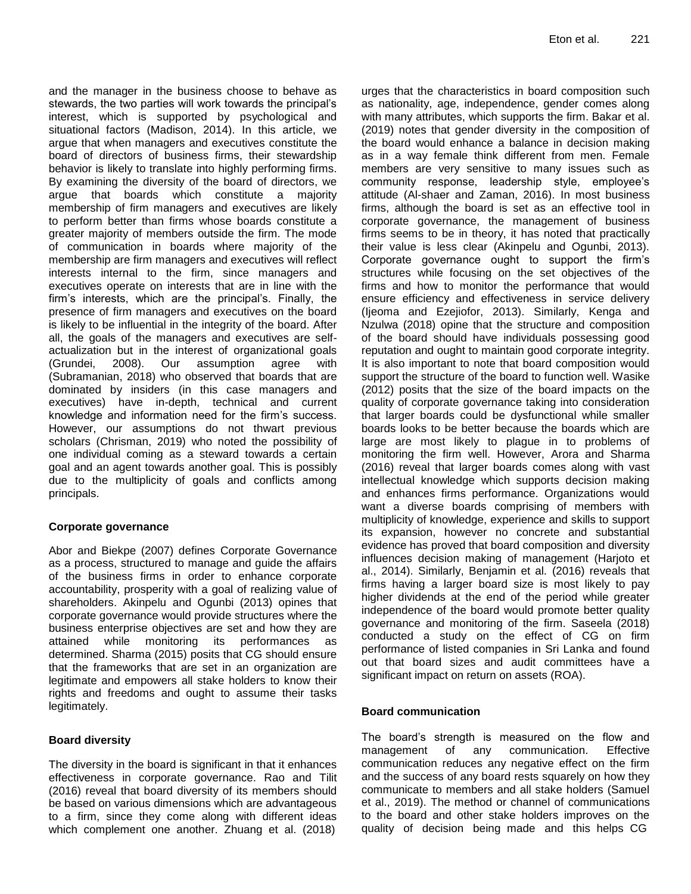and the manager in the business choose to behave as stewards, the two parties will work towards the principal's interest, which is supported by psychological and situational factors (Madison, 2014). In this article, we argue that when managers and executives constitute the board of directors of business firms, their stewardship behavior is likely to translate into highly performing firms. By examining the diversity of the board of directors, we argue that boards which constitute a majority membership of firm managers and executives are likely to perform better than firms whose boards constitute a greater majority of members outside the firm. The mode of communication in boards where majority of the membership are firm managers and executives will reflect interests internal to the firm, since managers and executives operate on interests that are in line with the firm's interests, which are the principal's. Finally, the presence of firm managers and executives on the board is likely to be influential in the integrity of the board. After all, the goals of the managers and executives are selfactualization but in the interest of organizational goals (Grundei, 2008). Our assumption agree with (Subramanian, 2018) who observed that boards that are dominated by insiders (in this case managers and executives) have in-depth, technical and current knowledge and information need for the firm's success. However, our assumptions do not thwart previous scholars (Chrisman, 2019) who noted the possibility of one individual coming as a steward towards a certain goal and an agent towards another goal. This is possibly due to the multiplicity of goals and conflicts among principals.

## **Corporate governance**

Abor and Biekpe (2007) defines Corporate Governance as a process, structured to manage and guide the affairs of the business firms in order to enhance corporate accountability, prosperity with a goal of realizing value of shareholders. Akinpelu and Ogunbi (2013) opines that corporate governance would provide structures where the business enterprise objectives are set and how they are attained while monitoring its performances as determined. Sharma (2015) posits that CG should ensure that the frameworks that are set in an organization are legitimate and empowers all stake holders to know their rights and freedoms and ought to assume their tasks legitimately.

## **Board diversity**

The diversity in the board is significant in that it enhances effectiveness in corporate governance. Rao and Tilit (2016) reveal that board diversity of its members should be based on various dimensions which are advantageous to a firm, since they come along with different ideas which complement one another. Zhuang et al. (2018)

urges that the characteristics in board composition such as nationality, age, independence, gender comes along with many attributes, which supports the firm. Bakar et al. (2019) notes that gender diversity in the composition of the board would enhance a balance in decision making as in a way female think different from men. Female members are very sensitive to many issues such as community response, leadership style, employee's attitude (Al-shaer and Zaman, 2016). In most business firms, although the board is set as an effective tool in corporate governance, the management of business firms seems to be in theory, it has noted that practically their value is less clear (Akinpelu and Ogunbi, 2013). Corporate governance ought to support the firm's structures while focusing on the set objectives of the firms and how to monitor the performance that would ensure efficiency and effectiveness in service delivery (Ijeoma and Ezejiofor, 2013). Similarly, Kenga and Nzulwa (2018) opine that the structure and composition of the board should have individuals possessing good reputation and ought to maintain good corporate integrity. It is also important to note that board composition would support the structure of the board to function well. Wasike (2012) posits that the size of the board impacts on the quality of corporate governance taking into consideration that larger boards could be dysfunctional while smaller boards looks to be better because the boards which are large are most likely to plague in to problems of monitoring the firm well. However, Arora and Sharma (2016) reveal that larger boards comes along with vast intellectual knowledge which supports decision making and enhances firms performance. Organizations would want a diverse boards comprising of members with multiplicity of knowledge, experience and skills to support its expansion, however no concrete and substantial evidence has proved that board composition and diversity influences decision making of management (Harjoto et al., 2014). Similarly, Benjamin et al*.* (2016) reveals that firms having a larger board size is most likely to pay higher dividends at the end of the period while greater independence of the board would promote better quality governance and monitoring of the firm. Saseela (2018) conducted a study on the effect of CG on firm performance of listed companies in Sri Lanka and found out that board sizes and audit committees have a significant impact on return on assets (ROA).

## **Board communication**

The board's strength is measured on the flow and management of any communication. Effective communication reduces any negative effect on the firm and the success of any board rests squarely on how they communicate to members and all stake holders (Samuel et al., 2019). The method or channel of communications to the board and other stake holders improves on the quality of decision being made and this helps CG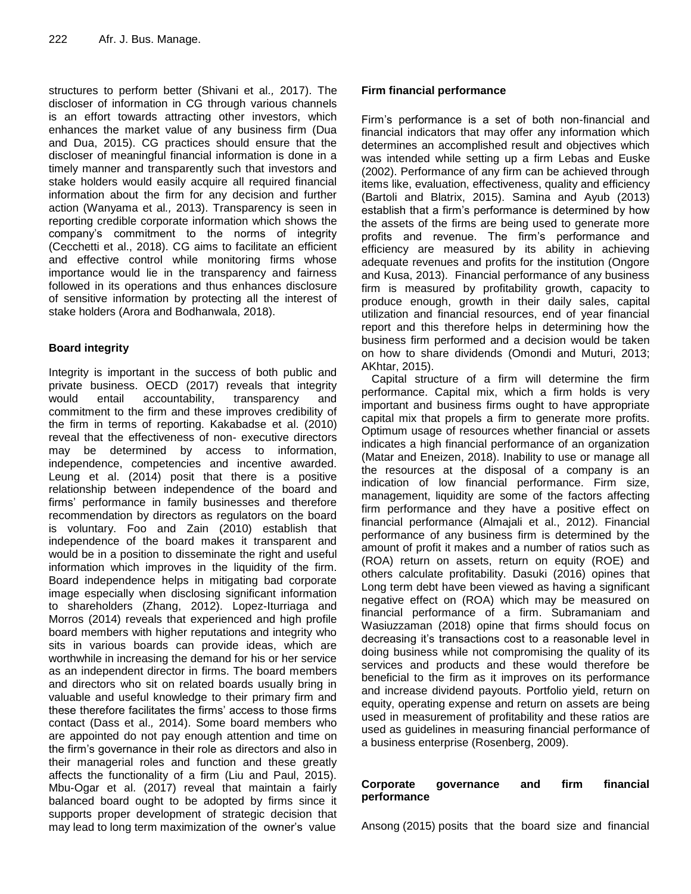structures to perform better (Shivani et al*.,* 2017). The discloser of information in CG through various channels is an effort towards attracting other investors, which enhances the market value of any business firm (Dua and Dua, 2015). CG practices should ensure that the discloser of meaningful financial information is done in a timely manner and transparently such that investors and stake holders would easily acquire all required financial information about the firm for any decision and further action (Wanyama et al*.,* 2013). Transparency is seen in reporting credible corporate information which shows the company's commitment to the norms of integrity (Cecchetti et al., 2018). CG aims to facilitate an efficient and effective control while monitoring firms whose importance would lie in the transparency and fairness followed in its operations and thus enhances disclosure of sensitive information by protecting all the interest of stake holders (Arora and Bodhanwala, 2018).

# **Board integrity**

Integrity is important in the success of both public and private business. OECD (2017) reveals that integrity would entail accountability, transparency and commitment to the firm and these improves credibility of the firm in terms of reporting. Kakabadse et al. (2010) reveal that the effectiveness of non- executive directors may be determined by access to information, independence, competencies and incentive awarded. Leung et al. (2014) posit that there is a positive relationship between independence of the board and firms' performance in family businesses and therefore recommendation by directors as regulators on the board is voluntary. Foo and Zain (2010) establish that independence of the board makes it transparent and would be in a position to disseminate the right and useful information which improves in the liquidity of the firm. Board independence helps in mitigating bad corporate image especially when disclosing significant information to shareholders (Zhang, 2012). Lopez-Iturriaga and Morros (2014) reveals that experienced and high profile board members with higher reputations and integrity who sits in various boards can provide ideas, which are worthwhile in increasing the demand for his or her service as an independent director in firms. The board members and directors who sit on related boards usually bring in valuable and useful knowledge to their primary firm and these therefore facilitates the firms' access to those firms contact (Dass et al.*,* 2014). Some board members who are appointed do not pay enough attention and time on the firm's governance in their role as directors and also in their managerial roles and function and these greatly affects the functionality of a firm (Liu and Paul, 2015). Mbu-Ogar et al. (2017) reveal that maintain a fairly balanced board ought to be adopted by firms since it supports proper development of strategic decision that may lead to long term maximization of the owner's value

# **Firm financial performance**

Firm's performance is a set of both non-financial and financial indicators that may offer any information which determines an accomplished result and objectives which was intended while setting up a firm Lebas and Euske (2002). Performance of any firm can be achieved through items like, evaluation, effectiveness, quality and efficiency (Bartoli and Blatrix, 2015). Samina and Ayub (2013) establish that a firm's performance is determined by how the assets of the firms are being used to generate more profits and revenue. The firm's performance and efficiency are measured by its ability in achieving adequate revenues and profits for the institution (Ongore and Kusa, 2013). Financial performance of any business firm is measured by profitability growth, capacity to produce enough, growth in their daily sales, capital utilization and financial resources, end of year financial report and this therefore helps in determining how the business firm performed and a decision would be taken on how to share dividends (Omondi and Muturi, 2013; AKhtar, 2015).

Capital structure of a firm will determine the firm performance. Capital mix, which a firm holds is very important and business firms ought to have appropriate capital mix that propels a firm to generate more profits. Optimum usage of resources whether financial or assets indicates a high financial performance of an organization (Matar and Eneizen, 2018). Inability to use or manage all the resources at the disposal of a company is an indication of low financial performance. Firm size, management, liquidity are some of the factors affecting firm performance and they have a positive effect on financial performance (Almajali et al., 2012). Financial performance of any business firm is determined by the amount of profit it makes and a number of ratios such as (ROA) return on assets, return on equity (ROE) and others calculate profitability. Dasuki (2016) opines that Long term debt have been viewed as having a significant negative effect on (ROA) which may be measured on financial performance of a firm. Subramaniam and Wasiuzzaman (2018) opine that firms should focus on decreasing it's transactions cost to a reasonable level in doing business while not compromising the quality of its services and products and these would therefore be beneficial to the firm as it improves on its performance and increase dividend payouts. Portfolio yield, return on equity, operating expense and return on assets are being used in measurement of profitability and these ratios are used as guidelines in measuring financial performance of a business enterprise (Rosenberg, 2009).

# **Corporate governance and firm financial performance**

Ansong (2015) posits that the board size and financial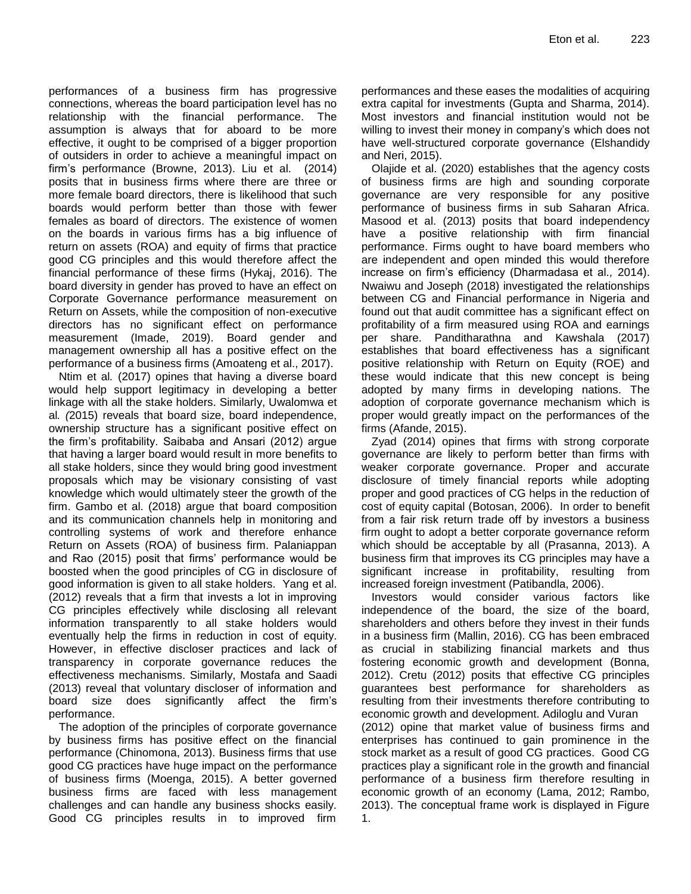performances of a business firm has progressive connections, whereas the board participation level has no relationship with the financial performance. The assumption is always that for aboard to be more effective, it ought to be comprised of a bigger proportion of outsiders in order to achieve a meaningful impact on firm's performance (Browne, 2013). Liu et al. (2014) posits that in business firms where there are three or more female board directors, there is likelihood that such boards would perform better than those with fewer females as board of directors. The existence of women on the boards in various firms has a big influence of return on assets (ROA) and equity of firms that practice good CG principles and this would therefore affect the financial performance of these firms (Hykaj, 2016). The board diversity in gender has proved to have an effect on Corporate Governance performance measurement on Return on Assets, while the composition of non-executive directors has no significant effect on performance measurement (Imade, 2019). Board gender and management ownership all has a positive effect on the performance of a business firms (Amoateng et al., 2017).

Ntim et al*.* (2017) opines that having a diverse board would help support legitimacy in developing a better linkage with all the stake holders. Similarly, Uwalomwa et al*. (*2015) reveals that board size, board independence, ownership structure has a significant positive effect on the firm's profitability. Saibaba and Ansari (2012) argue that having a larger board would result in more benefits to all stake holders, since they would bring good investment proposals which may be visionary consisting of vast knowledge which would ultimately steer the growth of the firm. Gambo et al. (2018) argue that board composition and its communication channels help in monitoring and controlling systems of work and therefore enhance Return on Assets (ROA) of business firm. Palaniappan and Rao (2015) posit that firms' performance would be boosted when the good principles of CG in disclosure of good information is given to all stake holders. Yang et al. (2012) reveals that a firm that invests a lot in improving CG principles effectively while disclosing all relevant information transparently to all stake holders would eventually help the firms in reduction in cost of equity. However, in effective discloser practices and lack of transparency in corporate governance reduces the effectiveness mechanisms. Similarly, Mostafa and Saadi (2013) reveal that voluntary discloser of information and board size does significantly affect the firm's performance.

The adoption of the principles of corporate governance by business firms has positive effect on the financial performance (Chinomona, 2013). Business firms that use good CG practices have huge impact on the performance of business firms (Moenga, 2015). A better governed business firms are faced with less management challenges and can handle any business shocks easily. Good CG principles results in to improved firm

performances and these eases the modalities of acquiring extra capital for investments (Gupta and Sharma, 2014). Most investors and financial institution would not be willing to invest their money in company's which does not have well-structured corporate governance (Elshandidy and Neri, 2015).

Olajide et al. (2020) establishes that the agency costs of business firms are high and sounding corporate governance are very responsible for any positive performance of business firms in sub Saharan Africa. Masood et al. (2013) posits that board independency have a positive relationship with firm financial performance. Firms ought to have board members who are independent and open minded this would therefore increase on firm's efficiency (Dharmadasa et al*.,* 2014). Nwaiwu and Joseph (2018) investigated the relationships between CG and Financial performance in Nigeria and found out that audit committee has a significant effect on profitability of a firm measured using ROA and earnings per share. Panditharathna and Kawshala (2017) establishes that board effectiveness has a significant positive relationship with Return on Equity (ROE) and these would indicate that this new concept is being adopted by many firms in developing nations. The adoption of corporate governance mechanism which is proper would greatly impact on the performances of the firms (Afande, 2015).

Zyad (2014) opines that firms with strong corporate governance are likely to perform better than firms with weaker corporate governance. Proper and accurate disclosure of timely financial reports while adopting proper and good practices of CG helps in the reduction of cost of equity capital (Botosan, 2006). In order to benefit from a fair risk return trade off by investors a business firm ought to adopt a better corporate governance reform which should be acceptable by all (Prasanna, 2013). A business firm that improves its CG principles may have a significant increase in profitability, resulting from increased foreign investment (Patibandla, 2006).

Investors would consider various factors like independence of the board, the size of the board, shareholders and others before they invest in their funds in a business firm (Mallin, 2016). CG has been embraced as crucial in stabilizing financial markets and thus fostering economic growth and development (Bonna, 2012). Cretu (2012) posits that effective CG principles guarantees best performance for shareholders as resulting from their investments therefore contributing to economic growth and development. Adiloglu and Vuran (2012) opine that market value of business firms and enterprises has continued to gain prominence in the stock market as a result of good CG practices. Good CG practices play a significant role in the growth and financial performance of a business firm therefore resulting in economic growth of an economy (Lama, 2012; Rambo, 2013). The conceptual frame work is displayed in Figure

1.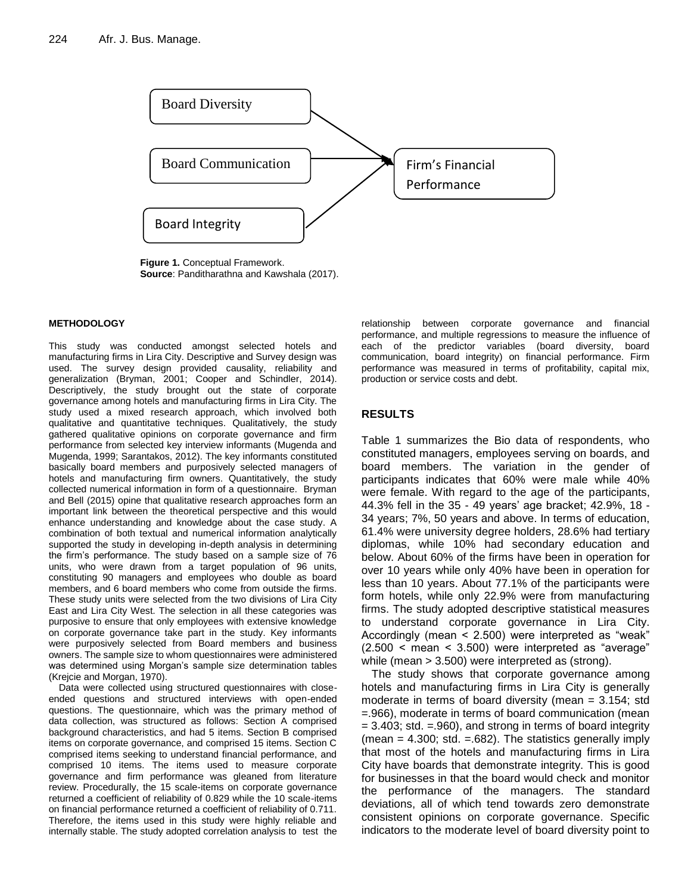

**Figure 1.** Conceptual Framework. **Source**: Panditharathna and Kawshala (2017).

#### **METHODOLOGY**

This study was conducted amongst selected hotels and manufacturing firms in Lira City. Descriptive and Survey design was used. The survey design provided causality, reliability and generalization (Bryman, 2001; Cooper and Schindler, 2014). Descriptively, the study brought out the state of corporate governance among hotels and manufacturing firms in Lira City. The study used a mixed research approach, which involved both qualitative and quantitative techniques. Qualitatively, the study gathered qualitative opinions on corporate governance and firm performance from selected key interview informants (Mugenda and Mugenda, 1999; Sarantakos, 2012). The key informants constituted basically board members and purposively selected managers of hotels and manufacturing firm owners. Quantitatively, the study collected numerical information in form of a questionnaire. Bryman and Bell (2015) opine that qualitative research approaches form an important link between the theoretical perspective and this would enhance understanding and knowledge about the case study. A combination of both textual and numerical information analytically supported the study in developing in-depth analysis in determining the firm's performance. The study based on a sample size of 76 units, who were drawn from a target population of 96 units, constituting 90 managers and employees who double as board members, and 6 board members who come from outside the firms. These study units were selected from the two divisions of Lira City East and Lira City West. The selection in all these categories was purposive to ensure that only employees with extensive knowledge on corporate governance take part in the study. Key informants were purposively selected from Board members and business owners. The sample size to whom questionnaires were administered was determined using Morgan's sample size determination tables (Krejcie and Morgan, 1970).

Data were collected using structured questionnaires with closeended questions and structured interviews with open-ended questions. The questionnaire, which was the primary method of data collection, was structured as follows: Section A comprised background characteristics, and had 5 items. Section B comprised items on corporate governance, and comprised 15 items. Section C comprised items seeking to understand financial performance, and comprised 10 items. The items used to measure corporate governance and firm performance was gleaned from literature review. Procedurally, the 15 scale-items on corporate governance returned a coefficient of reliability of 0.829 while the 10 scale-items on financial performance returned a coefficient of reliability of 0.711. Therefore, the items used in this study were highly reliable and internally stable. The study adopted correlation analysis to test the

relationship between corporate governance and financial performance, and multiple regressions to measure the influence of each of the predictor variables (board diversity, board communication, board integrity) on financial performance. Firm performance was measured in terms of profitability, capital mix, production or service costs and debt.

## **RESULTS**

Table 1 summarizes the Bio data of respondents, who constituted managers, employees serving on boards, and board members. The variation in the gender of participants indicates that 60% were male while 40% were female. With regard to the age of the participants, 44.3% fell in the 35 - 49 years' age bracket; 42.9%, 18 - 34 years; 7%, 50 years and above. In terms of education, 61.4% were university degree holders, 28.6% had tertiary diplomas, while 10% had secondary education and below. About 60% of the firms have been in operation for over 10 years while only 40% have been in operation for less than 10 years. About 77.1% of the participants were form hotels, while only 22.9% were from manufacturing firms. The study adopted descriptive statistical measures to understand corporate governance in Lira City. Accordingly (mean < 2.500) were interpreted as "weak"  $(2.500 < mean < 3.500)$  were interpreted as "average" while (mean > 3.500) were interpreted as (strong).

The study shows that corporate governance among hotels and manufacturing firms in Lira City is generally moderate in terms of board diversity (mean = 3.154; std =.966), moderate in terms of board communication (mean = 3.403; std. =.960), and strong in terms of board integrity (mean  $=$  4.300; std.  $=$ .682). The statistics generally imply that most of the hotels and manufacturing firms in Lira City have boards that demonstrate integrity. This is good for businesses in that the board would check and monitor the performance of the managers. The standard deviations, all of which tend towards zero demonstrate consistent opinions on corporate governance. Specific indicators to the moderate level of board diversity point to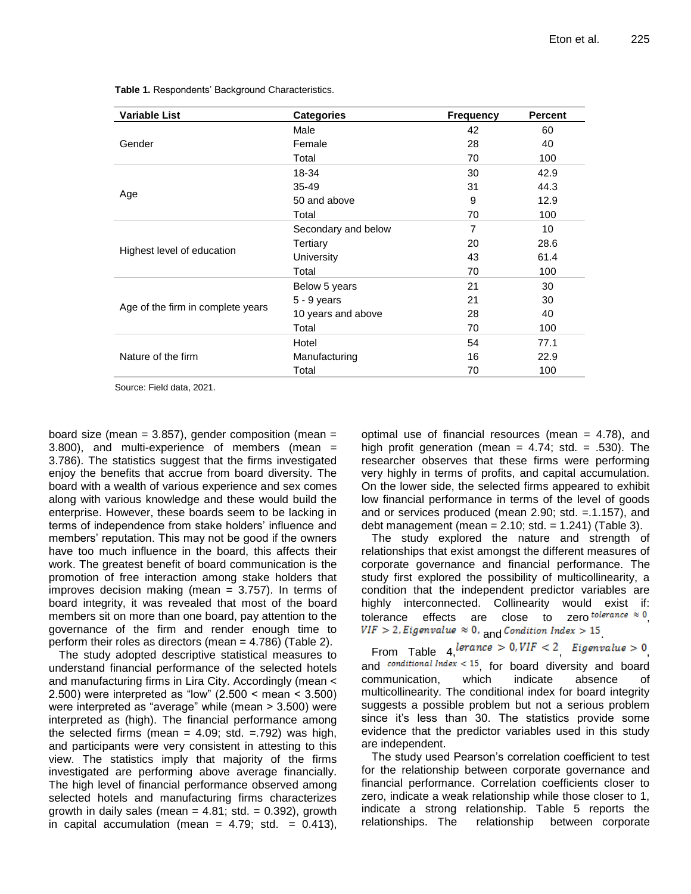| <b>Variable List</b>              | <b>Categories</b>   | <b>Frequency</b> | <b>Percent</b> |
|-----------------------------------|---------------------|------------------|----------------|
|                                   | Male                | 42               | 60             |
| Gender                            | Female              | 28               | 40             |
|                                   | Total               | 70               | 100            |
|                                   | 18-34               | 30               | 42.9           |
|                                   | $35 - 49$           | 31               | 44.3           |
| Age                               | 50 and above        | 9                | 12.9           |
|                                   | Total               | 70               | 100            |
| Highest level of education        | Secondary and below | 7                | 10             |
|                                   | Tertiary            | 20               | 28.6           |
|                                   | University          | 43               | 61.4           |
|                                   | Total               | 70               | 100            |
|                                   | Below 5 years       | 21               | 30             |
|                                   | $5 - 9$ years       | 21               | 30             |
| Age of the firm in complete years | 10 years and above  | 28               | 40             |
|                                   | Total               | 70               | 100            |
|                                   | Hotel               | 54               | 77.1           |
| Nature of the firm                | Manufacturing       | 16               | 22.9           |
|                                   | Total               | 70               | 100            |

**Table 1.** Respondents' Background Characteristics.

Source: Field data, 2021.

board size (mean =  $3.857$ ), gender composition (mean = 3.800), and multi-experience of members (mean = 3.786). The statistics suggest that the firms investigated enjoy the benefits that accrue from board diversity. The board with a wealth of various experience and sex comes along with various knowledge and these would build the enterprise. However, these boards seem to be lacking in terms of independence from stake holders' influence and members' reputation. This may not be good if the owners have too much influence in the board, this affects their work. The greatest benefit of board communication is the promotion of free interaction among stake holders that improves decision making (mean  $= 3.757$ ). In terms of board integrity, it was revealed that most of the board members sit on more than one board, pay attention to the governance of the firm and render enough time to perform their roles as directors (mean = 4.786) (Table 2).

The study adopted descriptive statistical measures to understand financial performance of the selected hotels and manufacturing firms in Lira City. Accordingly (mean < 2.500) were interpreted as "low" (2.500 < mean < 3.500) were interpreted as "average" while (mean > 3.500) were interpreted as (high). The financial performance among the selected firms (mean  $= 4.09$ ; std.  $= .792$ ) was high, and participants were very consistent in attesting to this view. The statistics imply that majority of the firms investigated are performing above average financially. The high level of financial performance observed among selected hotels and manufacturing firms characterizes growth in daily sales (mean  $= 4.81$ ; std.  $= 0.392$ ), growth in capital accumulation (mean =  $4.79$ ; std. =  $0.413$ ), optimal use of financial resources (mean  $=$  4.78), and high profit generation (mean =  $4.74$ ; std. = .530). The researcher observes that these firms were performing very highly in terms of profits, and capital accumulation. On the lower side, the selected firms appeared to exhibit low financial performance in terms of the level of goods and or services produced (mean 2.90; std. =.1.157), and debt management (mean =  $2.10$ ; std. =  $1.241$ ) (Table 3).

The study explored the nature and strength of relationships that exist amongst the different measures of corporate governance and financial performance. The study first explored the possibility of multicollinearity, a condition that the independent predictor variables are highly interconnected. Collinearity would exist if: tolerance effects are close to zero *tolerance*  $\approx 0$ .  $VIF > 2$ , Eigenvalue  $\approx 0$ , and Condition Index > 15

From Table  $4, \text{lerance} > 0, \text{VIF} < 2$  Eigenvalue > 0 and conditional Index  $<$  15, for board diversity and board communication, which indicate absence of multicollinearity. The conditional index for board integrity suggests a possible problem but not a serious problem since it's less than 30. The statistics provide some evidence that the predictor variables used in this study are independent.

The study used Pearson's correlation coefficient to test for the relationship between corporate governance and financial performance. Correlation coefficients closer to zero, indicate a weak relationship while those closer to 1, indicate a strong relationship. Table 5 reports the relationships. The relationship between corporate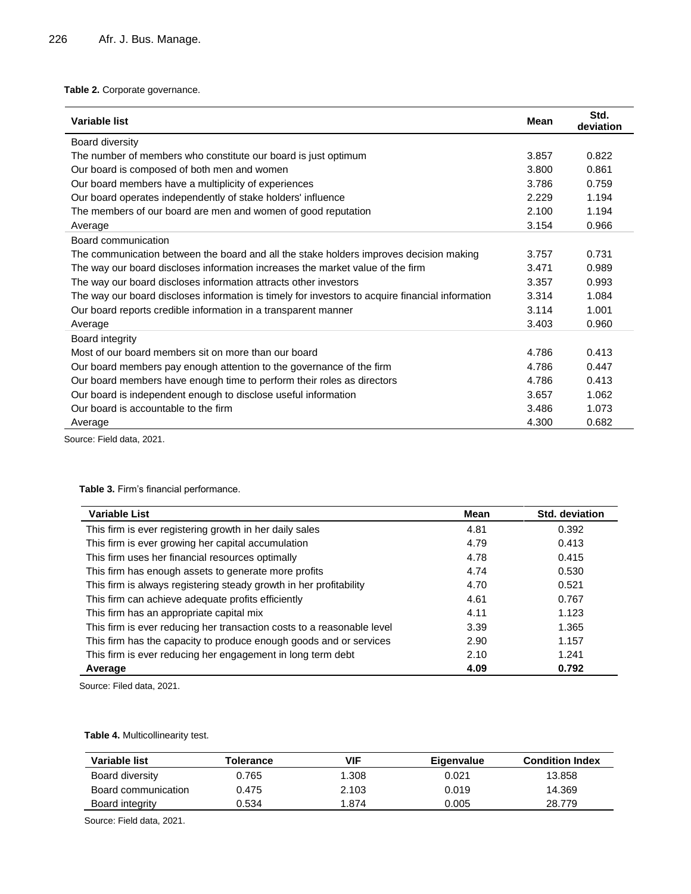# **Table 2.** Corporate governance.

| <b>Variable list</b>                                                                             |       | Std.<br>deviation |
|--------------------------------------------------------------------------------------------------|-------|-------------------|
| <b>Board diversity</b>                                                                           |       |                   |
| The number of members who constitute our board is just optimum                                   | 3.857 | 0.822             |
| Our board is composed of both men and women                                                      | 3.800 | 0.861             |
| Our board members have a multiplicity of experiences                                             | 3.786 | 0.759             |
| Our board operates independently of stake holders' influence                                     | 2.229 | 1.194             |
| The members of our board are men and women of good reputation                                    | 2.100 | 1.194             |
| Average                                                                                          | 3.154 | 0.966             |
| Board communication                                                                              |       |                   |
| The communication between the board and all the stake holders improves decision making           | 3.757 | 0.731             |
| The way our board discloses information increases the market value of the firm                   | 3.471 | 0.989             |
| The way our board discloses information attracts other investors                                 | 3.357 | 0.993             |
| The way our board discloses information is timely for investors to acquire financial information | 3.314 | 1.084             |
| Our board reports credible information in a transparent manner                                   | 3.114 | 1.001             |
| Average                                                                                          | 3.403 | 0.960             |
| Board integrity                                                                                  |       |                   |
| Most of our board members sit on more than our board                                             | 4.786 | 0.413             |
| Our board members pay enough attention to the governance of the firm                             | 4.786 | 0.447             |
| Our board members have enough time to perform their roles as directors                           | 4.786 | 0.413             |
| Our board is independent enough to disclose useful information                                   | 3.657 | 1.062             |
| Our board is accountable to the firm                                                             | 3.486 | 1.073             |
| Average                                                                                          | 4.300 | 0.682             |

Source: Field data, 2021.

# **Table 3.** Firm's financial performance.

| <b>Variable List</b>                                                   | <b>Mean</b> | <b>Std. deviation</b> |
|------------------------------------------------------------------------|-------------|-----------------------|
| This firm is ever registering growth in her daily sales                | 4.81        | 0.392                 |
| This firm is ever growing her capital accumulation                     | 4.79        | 0.413                 |
| This firm uses her financial resources optimally                       | 4.78        | 0.415                 |
| This firm has enough assets to generate more profits                   | 4.74        | 0.530                 |
| This firm is always registering steady growth in her profitability     | 4.70        | 0.521                 |
| This firm can achieve adequate profits efficiently                     | 4.61        | 0.767                 |
| This firm has an appropriate capital mix                               | 4.11        | 1.123                 |
| This firm is ever reducing her transaction costs to a reasonable level | 3.39        | 1.365                 |
| This firm has the capacity to produce enough goods and or services     | 2.90        | 1.157                 |
| This firm is ever reducing her engagement in long term debt            | 2.10        | 1.241                 |
| Average                                                                | 4.09        | 0.792                 |

Source: Filed data, 2021.

#### **Table 4.** Multicollinearity test.

| Variable list       | <b>Folerance</b> | <b>VIF</b> | Eigenvalue | <b>Condition Index</b> |  |
|---------------------|------------------|------------|------------|------------------------|--|
| Board diversity     | 0.765            | 1.308      | 0.021      | 13.858                 |  |
| Board communication | 0.475            | 2.103      | 0.019      | 14.369                 |  |
| Board integrity     | 0.534            | 1.874      | 0.005      | 28.779                 |  |

Source: Field data, 2021.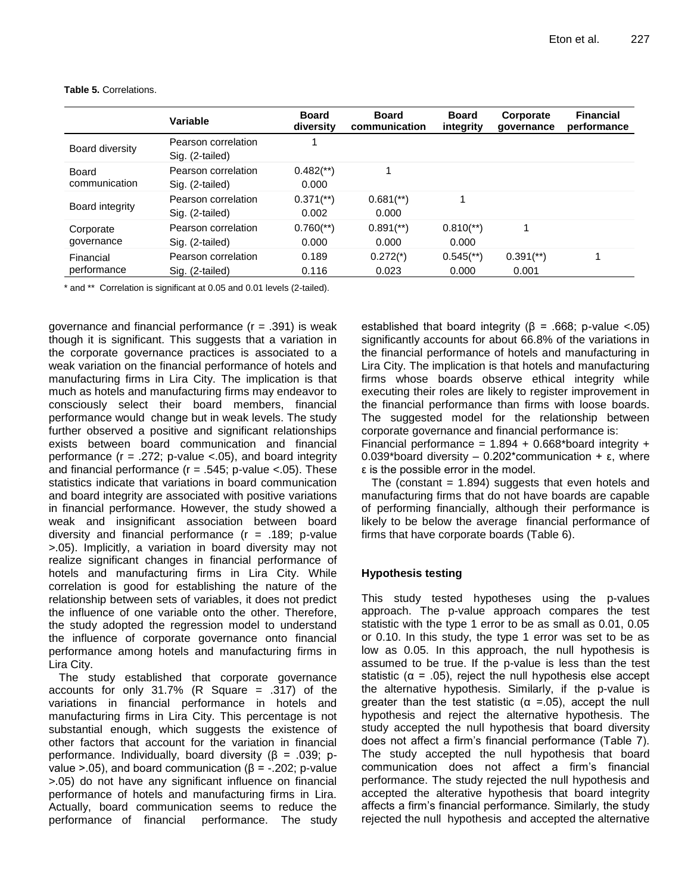|                          | Variable                               | <b>Board</b><br>diversity        | <b>Board</b><br>communication    | <b>Board</b><br>integrity        | Corporate<br>qovernance            | <b>Financial</b><br>performance |
|--------------------------|----------------------------------------|----------------------------------|----------------------------------|----------------------------------|------------------------------------|---------------------------------|
| Board diversity          | Pearson correlation<br>Sig. (2-tailed) |                                  |                                  |                                  |                                    |                                 |
| Board<br>communication   | Pearson correlation<br>Sig. (2-tailed) | $0.482$ <sup>**</sup> )<br>0.000 | 1                                |                                  |                                    |                                 |
| Board integrity          | Pearson correlation<br>Sig. (2-tailed) | $0.371$ <sup>**</sup> )<br>0.002 | $0.681$ <sup>**</sup> )<br>0.000 | 1                                |                                    |                                 |
| Corporate<br>governance  | Pearson correlation<br>Sig. (2-tailed) | $0.760$ <sup>**</sup> )<br>0.000 | $0.891$ <sup>**</sup> )<br>0.000 | $0.810$ <sup>**</sup> )<br>0.000 |                                    |                                 |
| Financial<br>performance | Pearson correlation<br>Sig. (2-tailed) | 0.189<br>0.116                   | $0.272(*)$<br>0.023              | $0.545$ <sup>**</sup> )<br>0.000 | $0.391$ <sup>(**)</sup> )<br>0.001 | 1                               |

**Table 5.** Correlations.

\* and \*\* Correlation is significant at 0.05 and 0.01 levels (2-tailed).

governance and financial performance  $(r = .391)$  is weak though it is significant. This suggests that a variation in the corporate governance practices is associated to a weak variation on the financial performance of hotels and manufacturing firms in Lira City. The implication is that much as hotels and manufacturing firms may endeavor to consciously select their board members, financial performance would change but in weak levels. The study further observed a positive and significant relationships exists between board communication and financial performance  $(r = .272; p-value < .05)$ , and board integrity and financial performance ( $r = .545$ ; p-value <.05). These statistics indicate that variations in board communication and board integrity are associated with positive variations in financial performance. However, the study showed a weak and insignificant association between board diversity and financial performance  $(r = .189; p-value)$ >.05). Implicitly, a variation in board diversity may not realize significant changes in financial performance of hotels and manufacturing firms in Lira City. While correlation is good for establishing the nature of the relationship between sets of variables, it does not predict the influence of one variable onto the other. Therefore, the study adopted the regression model to understand the influence of corporate governance onto financial performance among hotels and manufacturing firms in Lira City.

The study established that corporate governance accounts for only  $31.7\%$  (R Square = .317) of the variations in financial performance in hotels and manufacturing firms in Lira City. This percentage is not substantial enough, which suggests the existence of other factors that account for the variation in financial performance. Individually, board diversity (β = .039; pvalue >.05), and board communication ( $β = -.202$ ; p-value >.05) do not have any significant influence on financial performance of hotels and manufacturing firms in Lira. Actually, board communication seems to reduce the performance of financial performance. The study established that board integrity ( $\beta$  = .668; p-value <.05) significantly accounts for about 66.8% of the variations in the financial performance of hotels and manufacturing in Lira City. The implication is that hotels and manufacturing firms whose boards observe ethical integrity while executing their roles are likely to register improvement in the financial performance than firms with loose boards. The suggested model for the relationship between corporate governance and financial performance is: Financial performance =  $1.894 + 0.668$ \*board integrity +

0.039\*board diversity – 0.202\*communication + ε, where ε is the possible error in the model.

The (constant  $= 1.894$ ) suggests that even hotels and manufacturing firms that do not have boards are capable of performing financially, although their performance is likely to be below the average financial performance of firms that have corporate boards (Table 6).

## **Hypothesis testing**

This study tested hypotheses using the p-values approach. The p-value approach compares the test statistic with the type 1 error to be as small as 0.01, 0.05 or 0.10. In this study, the type 1 error was set to be as low as 0.05. In this approach, the null hypothesis is assumed to be true. If the p-value is less than the test statistic ( $\alpha$  = .05), reject the null hypothesis else accept the alternative hypothesis. Similarly, if the p-value is greater than the test statistic ( $\alpha$  =.05), accept the null hypothesis and reject the alternative hypothesis. The study accepted the null hypothesis that board diversity does not affect a firm's financial performance (Table 7). The study accepted the null hypothesis that board communication does not affect a firm's financial performance. The study rejected the null hypothesis and accepted the alterative hypothesis that board integrity affects a firm's financial performance. Similarly, the study rejected the null hypothesis and accepted the alternative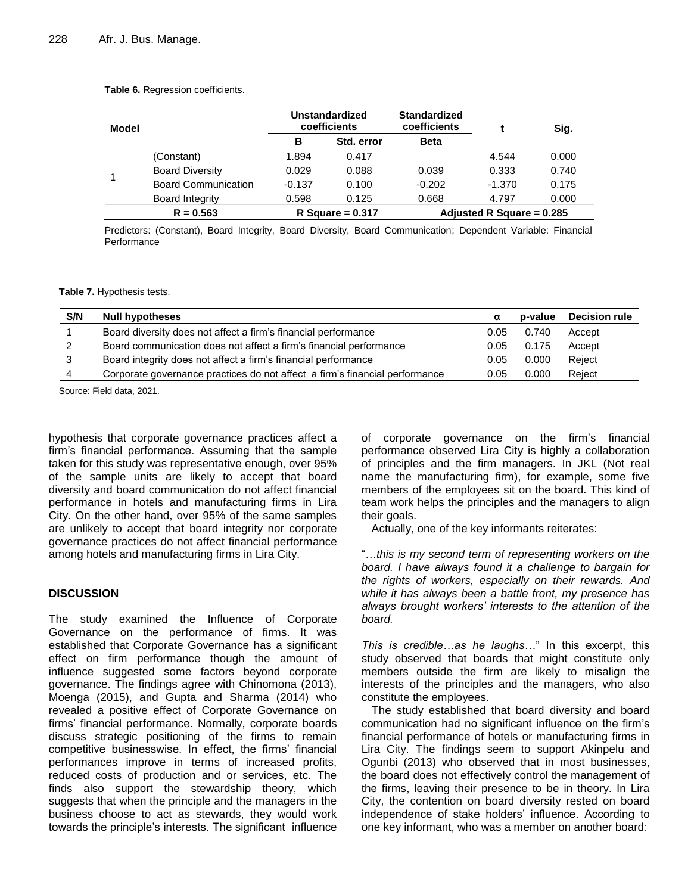#### **Table 6.** Regression coefficients.

| Model |                            |          | <b>Unstandardized</b><br>coefficients | <b>Standardized</b><br>coefficients |          | Sig.  |
|-------|----------------------------|----------|---------------------------------------|-------------------------------------|----------|-------|
|       |                            | в        | Std. error                            | <b>Beta</b>                         |          |       |
| 1     | (Constant)                 | 1.894    | 0.417                                 |                                     | 4.544    | 0.000 |
|       | <b>Board Diversity</b>     | 0.029    | 0.088                                 | 0.039                               | 0.333    | 0.740 |
|       | <b>Board Communication</b> | $-0.137$ | 0.100                                 | $-0.202$                            | $-1.370$ | 0.175 |
|       | <b>Board Integrity</b>     | 0.598    | 0.125                                 | 0.668                               | 4.797    | 0.000 |
|       | $R = 0.563$                |          | R Square = $0.317$                    | Adjusted R Square = $0.285$         |          |       |

Predictors: (Constant), Board Integrity, Board Diversity, Board Communication; Dependent Variable: Financial Performance

**Table 7.** Hypothesis tests.

| S/N | <b>Null hypotheses</b>                                                      |      | p-value | <b>Decision rule</b> |
|-----|-----------------------------------------------------------------------------|------|---------|----------------------|
|     | Board diversity does not affect a firm's financial performance              | 0.05 | 0.740   | Accept               |
| 2   | Board communication does not affect a firm's financial performance          | 0.05 | 0.175   | Accept               |
| 3   | Board integrity does not affect a firm's financial performance              | 0.05 | 0.000   | Reject               |
| 4   | Corporate governance practices do not affect a firm's financial performance | 0.05 | 0.000   | Reiect               |

Source: Field data, 2021.

hypothesis that corporate governance practices affect a firm's financial performance. Assuming that the sample taken for this study was representative enough, over 95% of the sample units are likely to accept that board diversity and board communication do not affect financial performance in hotels and manufacturing firms in Lira City. On the other hand, over 95% of the same samples are unlikely to accept that board integrity nor corporate governance practices do not affect financial performance among hotels and manufacturing firms in Lira City.

## **DISCUSSION**

The study examined the Influence of Corporate Governance on the performance of firms. It was established that Corporate Governance has a significant effect on firm performance though the amount of influence suggested some factors beyond corporate governance. The findings agree with Chinomona (2013), Moenga (2015), and Gupta and Sharma (2014) who revealed a positive effect of Corporate Governance on firms' financial performance. Normally, corporate boards discuss strategic positioning of the firms to remain competitive businesswise. In effect, the firms' financial performances improve in terms of increased profits, reduced costs of production and or services, etc. The finds also support the stewardship theory, which suggests that when the principle and the managers in the business choose to act as stewards, they would work towards the principle's interests. The significant influence of corporate governance on the firm's financial performance observed Lira City is highly a collaboration of principles and the firm managers. In JKL (Not real name the manufacturing firm), for example, some five members of the employees sit on the board. This kind of team work helps the principles and the managers to align their goals.

Actually, one of the key informants reiterates:

"…*this is my second term of representing workers on the board. I have always found it a challenge to bargain for the rights of workers, especially on their rewards. And while it has always been a battle front, my presence has always brought workers' interests to the attention of the board.* 

*This is credible…as he laughs*…" In this excerpt, this study observed that boards that might constitute only members outside the firm are likely to misalign the interests of the principles and the managers, who also constitute the employees.

The study established that board diversity and board communication had no significant influence on the firm's financial performance of hotels or manufacturing firms in Lira City. The findings seem to support Akinpelu and Ogunbi (2013) who observed that in most businesses, the board does not effectively control the management of the firms, leaving their presence to be in theory. In Lira City, the contention on board diversity rested on board independence of stake holders' influence. According to one key informant, who was a member on another board: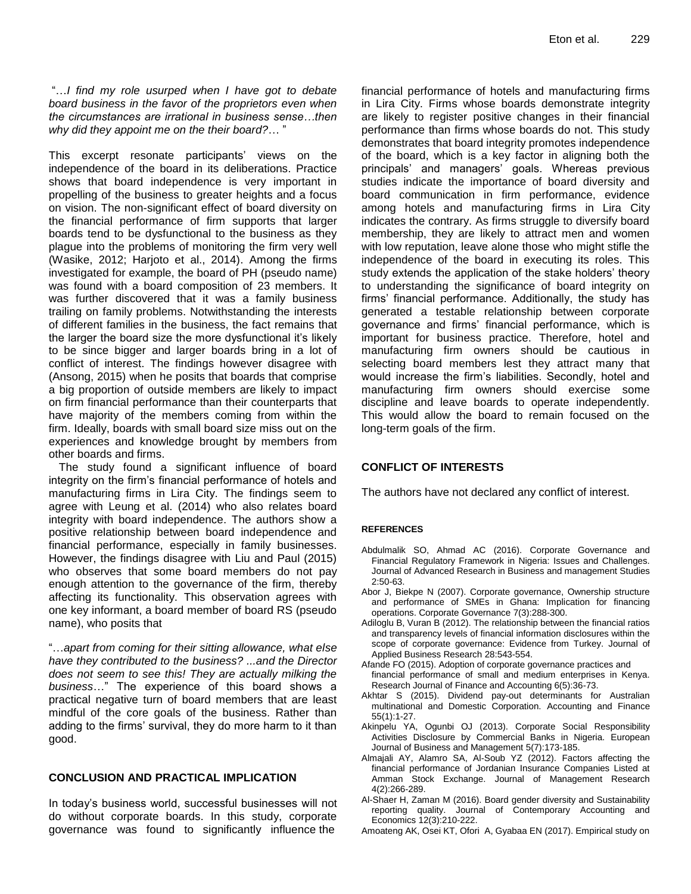"…*I find my role usurped when I have got to debate board business in the favor of the proprietors even when the circumstances are irrational in business sense…then why did they appoint me on the their board?*… "

This excerpt resonate participants' views on the independence of the board in its deliberations. Practice shows that board independence is very important in propelling of the business to greater heights and a focus on vision. The non-significant effect of board diversity on the financial performance of firm supports that larger boards tend to be dysfunctional to the business as they plague into the problems of monitoring the firm very well (Wasike, 2012; Harjoto et al., 2014). Among the firms investigated for example, the board of PH (pseudo name) was found with a board composition of 23 members. It was further discovered that it was a family business trailing on family problems. Notwithstanding the interests of different families in the business, the fact remains that the larger the board size the more dysfunctional it's likely to be since bigger and larger boards bring in a lot of conflict of interest. The findings however disagree with (Ansong, 2015) when he posits that boards that comprise a big proportion of outside members are likely to impact on firm financial performance than their counterparts that have majority of the members coming from within the firm. Ideally, boards with small board size miss out on the experiences and knowledge brought by members from other boards and firms.

The study found a significant influence of board integrity on the firm's financial performance of hotels and manufacturing firms in Lira City. The findings seem to agree with Leung et al. (2014) who also relates board integrity with board independence. The authors show a positive relationship between board independence and financial performance, especially in family businesses. However, the findings disagree with Liu and Paul (2015) who observes that some board members do not pay enough attention to the governance of the firm, thereby affecting its functionality. This observation agrees with one key informant, a board member of board RS (pseudo name), who posits that

"…*apart from coming for their sitting allowance, what else have they contributed to the business? ...and the Director does not seem to see this! They are actually milking the business*…" The experience of this board shows a practical negative turn of board members that are least mindful of the core goals of the business. Rather than adding to the firms' survival, they do more harm to it than good.

#### **CONCLUSION AND PRACTICAL IMPLICATION**

In today's business world, successful businesses will not do without corporate boards. In this study, corporate governance was found to significantly influence the

financial performance of hotels and manufacturing firms in Lira City. Firms whose boards demonstrate integrity are likely to register positive changes in their financial performance than firms whose boards do not. This study demonstrates that board integrity promotes independence of the board, which is a key factor in aligning both the principals' and managers' goals. Whereas previous studies indicate the importance of board diversity and board communication in firm performance, evidence among hotels and manufacturing firms in Lira City indicates the contrary. As firms struggle to diversify board membership, they are likely to attract men and women with low reputation, leave alone those who might stifle the independence of the board in executing its roles. This study extends the application of the stake holders' theory to understanding the significance of board integrity on firms' financial performance. Additionally, the study has generated a testable relationship between corporate governance and firms' financial performance, which is important for business practice. Therefore, hotel and manufacturing firm owners should be cautious in selecting board members lest they attract many that would increase the firm's liabilities. Secondly, hotel and manufacturing firm owners should exercise some discipline and leave boards to operate independently. This would allow the board to remain focused on the long-term goals of the firm.

## **CONFLICT OF INTERESTS**

The authors have not declared any conflict of interest.

#### **REFERENCES**

- Abdulmalik SO, Ahmad AC (2016). Corporate Governance and Financial Regulatory Framework in Nigeria: Issues and Challenges. Journal of Advanced Research in Business and management Studies 2:50-63.
- Abor J, Biekpe N (2007). Corporate governance, Ownership structure and performance of SMEs in Ghana: Implication for financing operations. Corporate Governance 7(3):288-300.
- Adiloglu B, Vuran B (2012). The relationship between the financial ratios and transparency levels of financial information disclosures within the scope of corporate governance: Evidence from Turkey. Journal of Applied Business Research 28:543-554.
- Afande FO (2015). Adoption of corporate governance practices and financial performance of small and medium enterprises in Kenya. Research Journal of Finance and Accounting 6(5):36-73.
- Akhtar S (2015). Dividend pay-out determinants for Australian multinational and Domestic Corporation. Accounting and Finance 55(1):1-27.
- Akinpelu YA, Ogunbi OJ (2013). Corporate Social Responsibility Activities Disclosure by Commercial Banks in Nigeria. European Journal of Business and Management 5(7):173-185.
- Almajali AY, Alamro SA, Al-Soub YZ (2012). Factors affecting the financial performance of Jordanian Insurance Companies Listed at Amman Stock Exchange. Journal of Management Research 4(2):266-289.
- Al-Shaer H, Zaman M (2016). Board gender diversity and Sustainability reporting quality. Journal of Contemporary Accounting and Economics 12(3):210-222.
- Amoateng AK, Osei KT, Ofori A, Gyabaa EN (2017). Empirical study on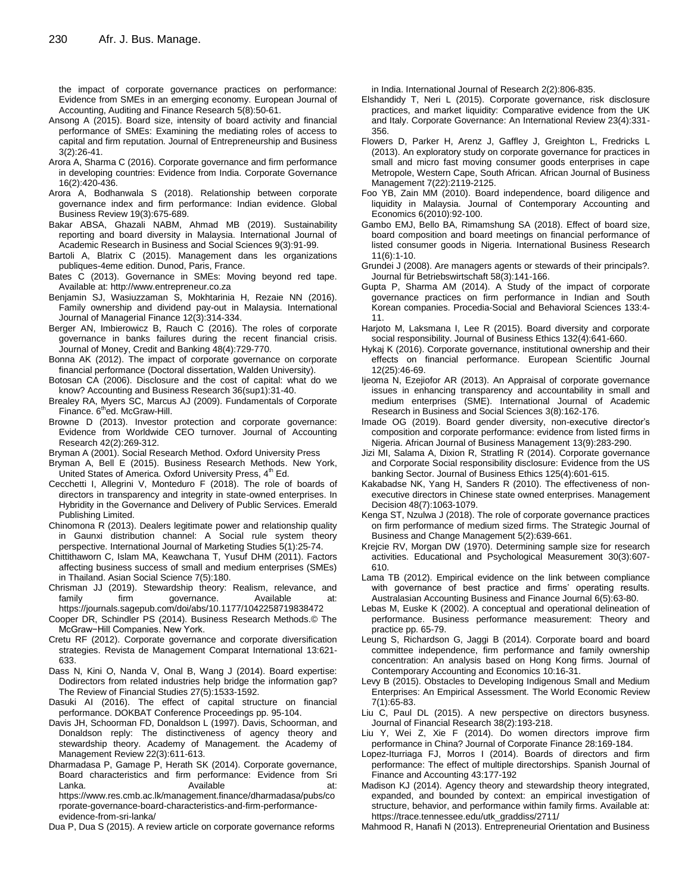the impact of corporate governance practices on performance: Evidence from SMEs in an emerging economy. European Journal of Accounting, Auditing and Finance Research 5(8):50-61.

- Ansong A (2015). Board size, intensity of board activity and financial performance of SMEs: Examining the mediating roles of access to capital and firm reputation. Journal of Entrepreneurship and Business 3(2):26-41.
- Arora A, Sharma C (2016). Corporate governance and firm performance in developing countries: Evidence from India. Corporate Governance 16(2):420-436.
- Arora A, Bodhanwala S (2018). Relationship between corporate governance index and firm performance: Indian evidence. Global Business Review 19(3):675-689.
- Bakar ABSA, Ghazali NABM, Ahmad MB (2019). Sustainability reporting and board diversity in Malaysia. International Journal of Academic Research in Business and Social Sciences 9(3):91-99.
- Bartoli A, Blatrix C (2015). Management dans les organizations publiques-4eme edition. Dunod, Paris, France.
- Bates C (2013). Governance in SMEs: Moving beyond red tape. Available at: http://www.entrepreneur.co.za
- Benjamin SJ, Wasiuzzaman S, Mokhtarinia H, Rezaie NN (2016). Family ownership and dividend pay-out in Malaysia. International Journal of Managerial Finance 12(3):314-334.
- Berger AN, Imbierowicz B, Rauch C (2016). The roles of corporate governance in banks failures during the recent financial crisis. Journal of Money, Credit and Banking 48(4):729-770.
- Bonna AK (2012). The impact of corporate governance on corporate financial performance (Doctoral dissertation, Walden University).
- Botosan CA (2006). Disclosure and the cost of capital: what do we know? Accounting and Business Research 36(sup1):31-40.
- Brealey RA, Myers SC, Marcus AJ (2009). Fundamentals of Corporate Finance. 6<sup>th</sup>ed. McGraw-Hill.
- Browne D (2013). Investor protection and corporate governance: Evidence from Worldwide CEO turnover. Journal of Accounting Research 42(2):269-312.
- Bryman A (2001). Social Research Method. Oxford University Press
- Bryman A, Bell E (2015). Business Research Methods. New York, United States of America. Oxford University Press, 4<sup>th</sup> Ed.
- Cecchetti I, Allegrini V, Monteduro F (2018). The role of boards of directors in transparency and integrity in state-owned enterprises. In Hybridity in the Governance and Delivery of Public Services. Emerald Publishing Limited.
- Chinomona R (2013). Dealers legitimate power and relationship quality in Gaunxi distribution channel: A Social rule system theory perspective. International Journal of Marketing Studies 5(1):25-74.
- Chittithaworn C, Islam MA, Keawchana T, Yusuf DHM (2011). Factors affecting business success of small and medium enterprises (SMEs) in Thailand. Asian Social Science 7(5):180.
- Chrisman JJ (2019). Stewardship theory: Realism, relevance, and family firm governance. Available at: <https://journals.sagepub.com/doi/abs/10.1177/1042258719838472>
- Cooper DR, Schindler PS (2014). Business Research Methods.© The McGraw−Hill Companies. New York.
- Cretu RF (2012). Corporate governance and corporate diversification strategies. Revista de Management Comparat International 13:621- 633.
- Dass N, Kini O, Nanda V, Onal B, Wang J (2014). Board expertise: Dodirectors from related industries help bridge the information gap? The Review of Financial Studies 27(5):1533-1592.
- Dasuki AI (2016). The effect of capital structure on financial performance. DOKBAT Conference Proceedings pp. 95-104.
- Davis JH, Schoorman FD, Donaldson L (1997). Davis, Schoorman, and Donaldson reply: The distinctiveness of agency theory and stewardship theory. Academy of Management. the Academy of Management Review 22(3):611-613.
- Dharmadasa P, Gamage P, Herath SK (2014). Corporate governance, Board characteristics and firm performance: Evidence from Sri Lanka. Available at:

[https://www.res.cmb.ac.lk/management.finance/dharmadasa/pubs/co](https://www.res.cmb.ac.lk/management.finance/dharmadasa/pubs/corporate-governance-board-characteristics-and-firm-performance-evidence-from-sri-lanka/) [rporate-governance-board-characteristics-and-firm-performance](https://www.res.cmb.ac.lk/management.finance/dharmadasa/pubs/corporate-governance-board-characteristics-and-firm-performance-evidence-from-sri-lanka/)[evidence-from-sri-lanka/](https://www.res.cmb.ac.lk/management.finance/dharmadasa/pubs/corporate-governance-board-characteristics-and-firm-performance-evidence-from-sri-lanka/)

Dua P, Dua S (2015). A review article on corporate governance reforms

in India. International Journal of Research 2(2):806-835.

- Elshandidy T, Neri L (2015). Corporate governance, risk disclosure practices, and market liquidity: Comparative evidence from the UK and Italy. Corporate Governance: An International Review 23(4):331- 356.
- Flowers D, Parker H, Arenz J, Gaffley J, Greighton L, Fredricks L (2013). An exploratory study on corporate governance for practices in small and micro fast moving consumer goods enterprises in cape Metropole, Western Cape, South African. African Journal of Business Management 7(22):2119-2125.
- Foo YB, Zain MM (2010). Board independence, board diligence and liquidity in Malaysia. Journal of Contemporary Accounting and Economics 6(2010):92-100.
- Gambo EMJ, Bello BA, Rimamshung SA (2018). Effect of board size, board composition and board meetings on financial performance of listed consumer goods in Nigeria. International Business Research 11(6):1-10.
- Grundei J (2008). Are managers agents or stewards of their principals?. Journal für Betriebswirtschaft 58(3):141-166.
- Gupta P, Sharma AM (2014). A Study of the impact of corporate governance practices on firm performance in Indian and South Korean companies. Procedia-Social and Behavioral Sciences 133:4- 11.
- Harjoto M, Laksmana I, Lee R (2015). Board diversity and corporate social responsibility. Journal of Business Ethics 132(4):641-660.
- Hykaj K (2016). Corporate governance, institutional ownership and their effects on financial performance. European Scientific Journal 12(25):46-69.
- Ijeoma N, Ezejiofor AR (2013). An Appraisal of corporate governance issues in enhancing transparency and accountability in small and medium enterprises (SME). International Journal of Academic Research in Business and Social Sciences 3(8):162-176.
- Imade OG (2019). Board gender diversity, non-executive director's composition and corporate performance: evidence from listed firms in Nigeria. African Journal of Business Management 13(9):283-290.
- Jizi MI, Salama A, Dixion R, Stratling R (2014). Corporate governance and Corporate Social responsibility disclosure: Evidence from the US banking Sector. Journal of Business Ethics 125(4):601-615.
- Kakabadse NK, Yang H, Sanders R (2010). The effectiveness of nonexecutive directors in Chinese state owned enterprises. Management Decision 48(7):1063-1079.
- Kenga ST, Nzulwa J (2018). The role of corporate governance practices on firm performance of medium sized firms. The Strategic Journal of Business and Change Management 5(2):639-661.
- Krejcie RV, Morgan DW (1970). Determining sample size for research activities. Educational and Psychological Measurement 30(3):607- 610.
- Lama TB (2012). Empirical evidence on the link between compliance with governance of best practice and firms' operating results. Australasian Accounting Business and Finance Journal 6(5):63-80.
- Lebas M, Euske K (2002). A conceptual and operational delineation of performance. Business performance measurement: Theory and practice pp. 65-79.
- Leung S, Richardson G, Jaggi B (2014). Corporate board and board committee independence, firm performance and family ownership concentration: An analysis based on Hong Kong firms. Journal of Contemporary Accounting and Economics 10:16-31.
- Levy B (2015). Obstacles to Developing Indigenous Small and Medium Enterprises: An Empirical Assessment. The World Economic Review 7(1):65-83.
- Liu C, Paul DL (2015). A new perspective on directors busyness. Journal of Financial Research 38(2):193-218.
- Liu Y, Wei Z, Xie F (2014). Do women directors improve firm performance in China? Journal of Corporate Finance 28:169-184.
- Lopez-Iturriaga FJ, Morros I (2014). Boards of directors and firm performance: The effect of multiple directorships. Spanish Journal of Finance and Accounting 43:177-192
- Madison KJ (2014). Agency theory and stewardship theory integrated, expanded, and bounded by context: an empirical investigation of structure, behavior, and performance within family firms. Available at: [https://trace.tennessee.edu/utk\\_graddiss/2711/](https://trace.tennessee.edu/utk_graddiss/2711/)
- Mahmood R, Hanafi N (2013). Entrepreneurial Orientation and Business